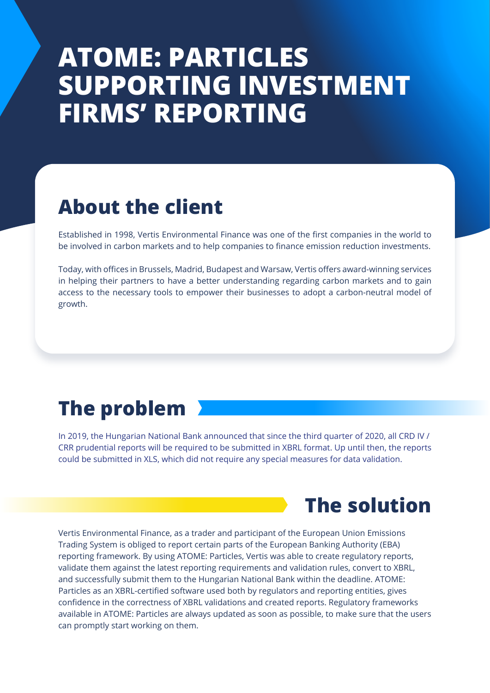# **ATOME: PARTICLES SUPPORTING INVESTMENT FIRMS' REPORTING**

## **About the client**

Established in 1998, Vertis Environmental Finance was one of the first companies in the world to be involved in carbon markets and to help companies to finance emission reduction investments.

Today, with offices in Brussels, Madrid, Budapest and Warsaw, Vertis offers award-winning services in helping their partners to have a better understanding regarding carbon markets and to gain access to the necessary tools to empower their businesses to adopt a carbon-neutral model of growth.

### **The problem**

In 2019, the Hungarian National Bank announced that since the third quarter of 2020, all CRD IV / CRR prudential reports will be required to be submitted in XBRL format. Up until then, the reports could be submitted in XLS, which did not require any special measures for data validation.

### **The solution**

Vertis Environmental Finance, as a trader and participant of the European Union Emissions Trading System is obliged to report certain parts of the European Banking Authority (EBA) reporting framework. By using ATOME: Particles, Vertis was able to create regulatory reports, validate them against the latest reporting requirements and validation rules, convert to XBRL, and successfully submit them to the Hungarian National Bank within the deadline. ATOME: Particles as an XBRL-certified software used both by regulators and reporting entities, gives confidence in the correctness of XBRL validations and created reports. Regulatory frameworks available in ATOME: Particles are always updated as soon as possible, to make sure that the users can promptly start working on them.